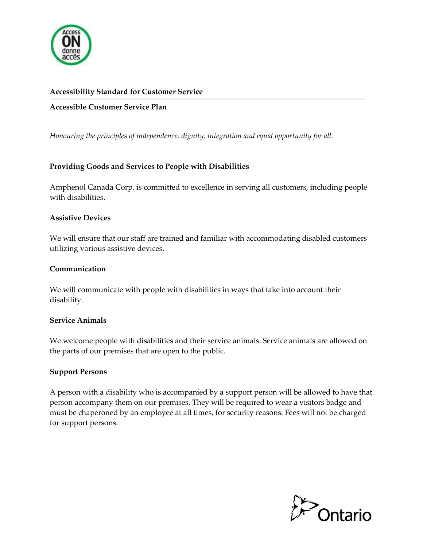

#### **Accessibility Standard for Customer Service**

**Accessible Customer Service Plan**

*Honouring the principles of independence, dignity, integration and equal opportunity for all.*

## **Providing Goods and Services to People with Disabilities**

Amphenol Canada Corp. is committed to excellence in serving all customers, including people with disabilities.

#### **Assistive Devices**

We will ensure that our staff are trained and familiar with accommodating disabled customers utilizing various assistive devices.

#### **Communication**

We will communicate with people with disabilities in ways that take into account their disability.

#### **Service Animals**

We welcome people with disabilities and their service animals. Service animals are allowed on the parts of our premises that are open to the public.

## **Support Persons**

A person with a disability who is accompanied by a support person will be allowed to have that person accompany them on our premises. They will be required to wear a visitors badge and must be chaperoned by an employee at all times, for security reasons. Fees will not be charged for support persons.

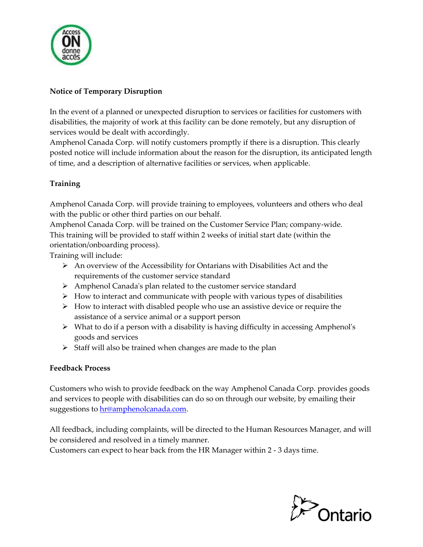

# **Notice of Temporary Disruption**

In the event of a planned or unexpected disruption to services or facilities for customers with disabilities, the majority of work at this facility can be done remotely, but any disruption of services would be dealt with accordingly.

Amphenol Canada Corp. will notify customers promptly if there is a disruption. This clearly posted notice will include information about the reason for the disruption, its anticipated length of time, and a description of alternative facilities or services, when applicable.

## **Training**

Amphenol Canada Corp. will provide training to employees, volunteers and others who deal with the public or other third parties on our behalf.

Amphenol Canada Corp. will be trained on the Customer Service Plan; company-wide. This training will be provided to staff within 2 weeks of initial start date (within the orientation/onboarding process).

Training will include:

- $\triangleright$  An overview of the Accessibility for Ontarians with Disabilities Act and the requirements of the customer service standard
- ➢ Amphenol Canada's plan related to the customer service standard
- $\triangleright$  How to interact and communicate with people with various types of disabilities
- $\triangleright$  How to interact with disabled people who use an assistive device or require the assistance of a service animal or a support person
- $\triangleright$  What to do if a person with a disability is having difficulty in accessing Amphenol's goods and services
- $\triangleright$  Staff will also be trained when changes are made to the plan

## **Feedback Process**

Customers who wish to provide feedback on the way Amphenol Canada Corp. provides goods and services to people with disabilities can do so on through our website, by emailing their suggestions to **hr@amphenolcanada.com**.

All feedback, including complaints, will be directed to the Human Resources Manager, and will be considered and resolved in a timely manner.

Customers can expect to hear back from the HR Manager within 2 - 3 days time.